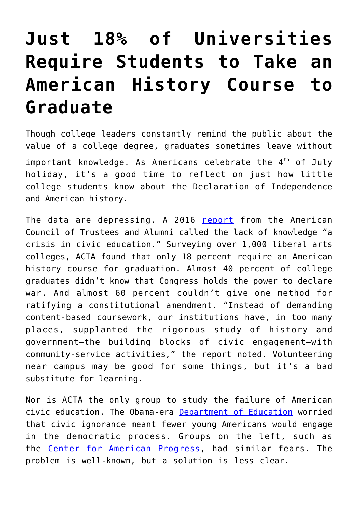## **[Just 18% of Universities](https://intellectualtakeout.org/2018/07/just-18-of-universities-require-students-to-take-an-american-history-course-to-graduate/) [Require Students to Take an](https://intellectualtakeout.org/2018/07/just-18-of-universities-require-students-to-take-an-american-history-course-to-graduate/) [American History Course to](https://intellectualtakeout.org/2018/07/just-18-of-universities-require-students-to-take-an-american-history-course-to-graduate/) [Graduate](https://intellectualtakeout.org/2018/07/just-18-of-universities-require-students-to-take-an-american-history-course-to-graduate/)**

Though college leaders constantly remind the public about the value of a college degree, graduates sometimes leave without important knowledge. As Americans celebrate the  $4<sup>th</sup>$  of July holiday, it's a good time to reflect on just how little college students know about the Declaration of Independence and American history.

The data are depressing. A 2016 [report](https://www.goacta.org/images/download/A_Crisis_in_Civic_Education.pdf) from the American Council of Trustees and Alumni called the lack of knowledge "a crisis in civic education." Surveying over 1,000 liberal arts colleges, ACTA found that only 18 percent require an American history course for graduation. Almost 40 percent of college graduates didn't know that Congress holds the power to declare war. And almost 60 percent couldn't give one method for ratifying a constitutional amendment. "Instead of demanding content-based coursework, our institutions have, in too many places, supplanted the rigorous study of history and government—the building blocks of civic engagement—with community-service activities," the report noted. Volunteering near campus may be good for some things, but it's a bad substitute for learning.

Nor is ACTA the only group to study the failure of American civic education. The Obama-era [Department of Education](https://www.ed.gov/civic-learning) worried that civic ignorance meant fewer young Americans would engage in the democratic process. Groups on the left, such as the [Center for American Progress](https://www.americanprogress.org/issues/education-k-12/reports/2018/02/21/446857/state-civics-education/), had similar fears. The problem is well-known, but a solution is less clear.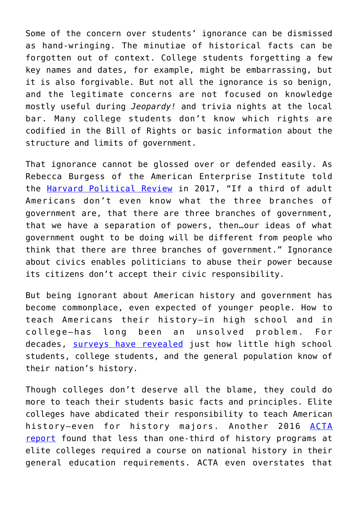Some of the concern over students' ignorance can be dismissed as hand-wringing. The minutiae of historical facts can be forgotten out of context. College students forgetting a few key names and dates, for example, might be embarrassing, but it is also forgivable. But not all the ignorance is so benign, and the legitimate concerns are not focused on knowledge mostly useful during *Jeopardy!* and trivia nights at the local bar. Many college students don't know which rights are codified in the Bill of Rights or basic information about the structure and limits of government.

That ignorance cannot be glossed over or defended easily. As Rebecca Burgess of the American Enterprise Institute told the [Harvard Political Review](http://harvardpolitics.com/culture/civic-illiteracy-in-america/) in 2017, "If a third of adult Americans don't even know what the three branches of government are, that there are three branches of government, that we have a separation of powers, then…our ideas of what government ought to be doing will be different from people who think that there are three branches of government." Ignorance about civics enables politicians to abuse their power because its citizens don't accept their civic responsibility.

But being ignorant about American history and government has become commonplace, even expected of younger people. How to teach Americans their history—in high school and in college—has long been an unsolved problem. For decades, [surveys have revealed](https://www.washingtonpost.com/local/education/will-better-civics-classes-lead-to-a-better-america-dont-count-on-it/2018/03/04/c4048aa4-1ce8-11e8-b2d9-08e748f892c0_story.html?utm_term=.faaeea383153) just how little high school students, college students, and the general population know of their nation's history.

Though colleges don't deserve all the blame, they could do more to teach their students basic facts and principles. Elite colleges have abdicated their responsibility to teach American history-even for history majors. Another 2016 [ACTA](https://www.goacta.org/images/download/no_u_s_history.pdf) [report](https://www.goacta.org/images/download/no_u_s_history.pdf) found that less than one-third of history programs at elite colleges required a course on national history in their general education requirements. ACTA even overstates that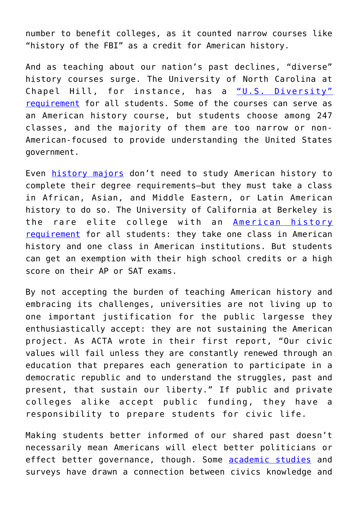number to benefit colleges, as it counted narrow courses like "history of the FBI" as a credit for American history.

And as teaching about our nation's past declines, "diverse" history courses surge. The University of North Carolina at Chapel Hill, for instance, has a ["U.S. Diversity"](http://www.catalog.unc.edu/undergraduate/general-education-curriculum-degree-requirements/) [requirement](http://www.catalog.unc.edu/undergraduate/general-education-curriculum-degree-requirements/) for all students. Some of the courses can serve as an American history course, but students choose among 247 classes, and the majority of them are too narrow or non-American-focused to provide understanding the United States government.

Even [history majors](https://history.unc.edu/undergraduate-program/the-history-major/) don't need to study American history to complete their degree requirements—but they must take a class in African, Asian, and Middle Eastern, or Latin American history to do so. The University of California at Berkeley is the rare elite college with an [American history](http://guide.berkeley.edu/undergraduate/colleges-schools/letters-science/american-history-institutions-requirement/) [requirement](http://guide.berkeley.edu/undergraduate/colleges-schools/letters-science/american-history-institutions-requirement/) for all students: they take one class in American history and one class in American institutions. But students can get an exemption with their high school credits or a high score on their AP or SAT exams.

By not accepting the burden of teaching American history and embracing its challenges, universities are not living up to one important justification for the public largesse they enthusiastically accept: they are not sustaining the American project. As ACTA wrote in their first report, "Our civic values will fail unless they are constantly renewed through an education that prepares each generation to participate in a democratic republic and to understand the struggles, past and present, that sustain our liberty." If public and private colleges alike accept public funding, they have a responsibility to prepare students for civic life.

Making students better informed of our shared past doesn't necessarily mean Americans will elect better politicians or effect better governance, though. Some [academic studies](https://www.ncbi.nlm.nih.gov/pmc/articles/PMC4024445/) and surveys have drawn a connection between civics knowledge and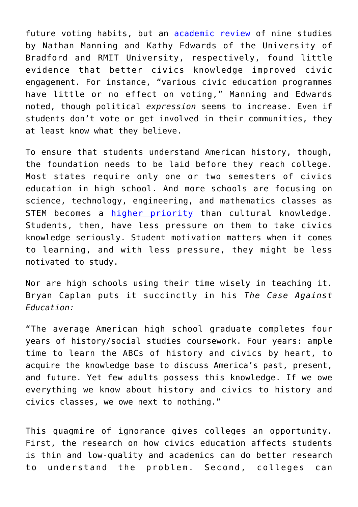future voting habits, but an [academic review](https://www.researchgate.net/publication/263691305_Does_civic_education_for_young_people_increase_political_participation_A_systematic_review) of nine studies by Nathan Manning and Kathy Edwards of the University of Bradford and RMIT University, respectively, found little evidence that better civics knowledge improved civic engagement. For instance, "various civic education programmes have little or no effect on voting," Manning and Edwards noted, though political *expression* seems to increase. Even if students don't vote or get involved in their communities, they at least know what they believe.

To ensure that students understand American history, though, the foundation needs to be laid before they reach college. Most states require only one or two semesters of civics education in high school. And more schools are focusing on science, technology, engineering, and mathematics classes as STEM becomes a [higher priority](https://www.theatlantic.com/education/archive/2015/09/civic-education-citizenship-test/405889/) than cultural knowledge. Students, then, have less pressure on them to take civics knowledge seriously. Student motivation matters when it comes to learning, and with less pressure, they might be less motivated to study.

Nor are high schools using their time wisely in teaching it. Bryan Caplan puts it succinctly in his *The Case Against Education:*

"The average American high school graduate completes four years of history/social studies coursework. Four years: ample time to learn the ABCs of history and civics by heart, to acquire the knowledge base to discuss America's past, present, and future. Yet few adults possess this knowledge. If we owe everything we know about history and civics to history and civics classes, we owe next to nothing."

This quagmire of ignorance gives colleges an opportunity. First, the research on how civics education affects students is thin and low-quality and academics can do better research to understand the problem. Second, colleges can